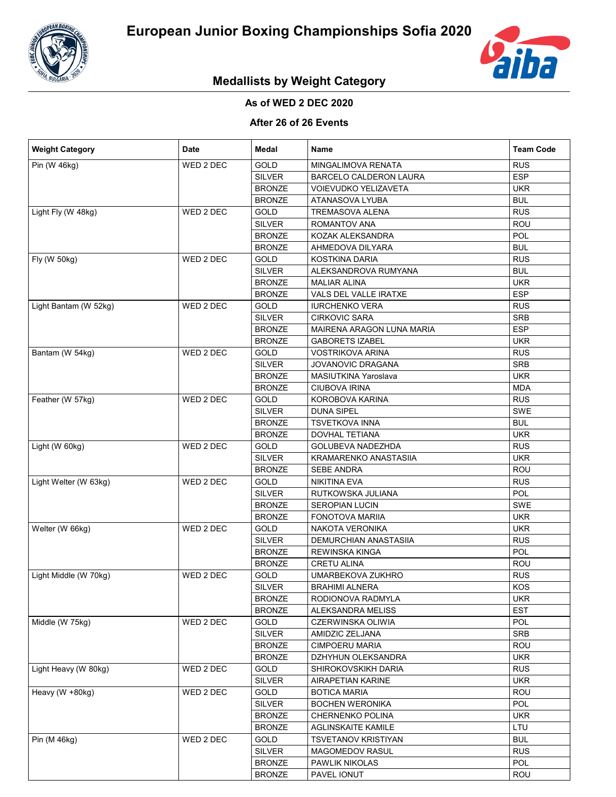



# **Medallists by Weight Category**

### **As of WED 2 DEC 2020**

#### **After 26 of 26 Events**

| <b>Weight Category</b>                   | Date      | Medal         | Name                          | <b>Team Code</b> |
|------------------------------------------|-----------|---------------|-------------------------------|------------------|
| Pin (W 46kg)                             | WED 2 DEC | GOLD          | MINGALIMOVA RENATA            | <b>RUS</b>       |
|                                          |           | <b>SILVER</b> | <b>BARCELO CALDERON LAURA</b> | <b>ESP</b>       |
|                                          |           | <b>BRONZE</b> | VOIEVUDKO YELIZAVETA          | <b>UKR</b>       |
|                                          |           | <b>BRONZE</b> | ATANASOVA LYUBA               | <b>BUL</b>       |
| Light Fly (W 48kg)                       | WED 2 DEC | GOLD          | TREMASOVA ALENA               | <b>RUS</b>       |
|                                          |           | <b>SILVER</b> | ROMANTOV ANA                  | ROU              |
|                                          |           | <b>BRONZE</b> | KOZAK ALEKSANDRA              | POL              |
|                                          |           | <b>BRONZE</b> | AHMEDOVA DILYARA              | <b>BUL</b>       |
| Fly (W 50kg)                             | WED 2 DEC | <b>GOLD</b>   | KOSTKINA DARIA                | <b>RUS</b>       |
|                                          |           | <b>SILVER</b> | ALEKSANDROVA RUMYANA          | <b>BUL</b>       |
|                                          |           | <b>BRONZE</b> | <b>MALIAR ALINA</b>           | <b>UKR</b>       |
|                                          |           | <b>BRONZE</b> | VALS DEL VALLE IRATXE         | <b>ESP</b>       |
| Light Bantam (W 52kg)                    | WED 2 DEC | GOLD          | <b>IURCHENKO VERA</b>         | <b>RUS</b>       |
|                                          |           | <b>SILVER</b> | <b>CIRKOVIC SARA</b>          | <b>SRB</b>       |
|                                          |           | <b>BRONZE</b> | MAIRENA ARAGON LUNA MARIA     | <b>ESP</b>       |
|                                          |           | <b>BRONZE</b> | <b>GABORETS IZABEL</b>        | <b>UKR</b>       |
| Bantam (W 54kg)                          | WED 2 DEC | GOLD          | <b>VOSTRIKOVA ARINA</b>       | <b>RUS</b>       |
|                                          |           | <b>SILVER</b> | JOVANOVIC DRAGANA             | <b>SRB</b>       |
|                                          |           | <b>BRONZE</b> | MASIUTKINA Yaroslava          | <b>UKR</b>       |
|                                          |           | <b>BRONZE</b> | <b>CIUBOVA IRINA</b>          | <b>MDA</b>       |
| Feather (W 57kg)                         | WED 2 DEC | GOLD          | KOROBOVA KARINA               | <b>RUS</b>       |
|                                          |           | <b>SILVER</b> | <b>DUNA SIPEL</b>             | SWE              |
|                                          |           | <b>BRONZE</b> | <b>TSVETKOVA INNA</b>         | <b>BUL</b>       |
|                                          |           | <b>BRONZE</b> | <b>DOVHAL TETIANA</b>         | <b>UKR</b>       |
| Light (W 60kg)                           | WED 2 DEC | GOLD          | GOLUBEVA NADEZHDA             | <b>RUS</b>       |
|                                          |           | <b>SILVER</b> | KRAMARENKO ANASTASIIA         | <b>UKR</b>       |
|                                          |           | <b>BRONZE</b> | <b>SEBE ANDRA</b>             | ROU              |
| Light Welter (W 63kg)                    | WED 2 DEC | GOLD          | NIKITINA EVA                  | <b>RUS</b>       |
|                                          |           | <b>SILVER</b> | RUTKOWSKA JULIANA             | POL              |
|                                          |           | <b>BRONZE</b> | <b>SEROPIAN LUCIN</b>         | SWE              |
|                                          |           | <b>BRONZE</b> | <b>FONOTOVA MARIIA</b>        | <b>UKR</b>       |
| Welter (W 66kg)<br>Light Middle (W 70kg) | WED 2 DEC | <b>GOLD</b>   | NAKOTA VERONIKA               | <b>UKR</b>       |
|                                          |           | <b>SILVER</b> | <b>DEMURCHIAN ANASTASIIA</b>  | <b>RUS</b>       |
|                                          |           | <b>BRONZE</b> | <b>REWINSKA KINGA</b>         | <b>POL</b>       |
|                                          |           | <b>BRONZE</b> | <b>CRETU ALINA</b>            | ROU              |
|                                          | WED 2 DEC | <b>GOLD</b>   | UMARBEKOVA ZUKHRO             | <b>RUS</b>       |
|                                          |           |               |                               | <b>KOS</b>       |
|                                          |           | <b>SILVER</b> | <b>BRAHIMI ALNERA</b>         |                  |
|                                          |           | <b>BRONZE</b> | RODIONOVA RADMYLA             | UKR              |
| Middle (W 75kg)                          |           | <b>BRONZE</b> | ALEKSANDRA MELISS             | <b>EST</b>       |
|                                          | WED 2 DEC | GOLD          | CZERWINSKA OLIWIA             | <b>POL</b>       |
|                                          |           | <b>SILVER</b> | AMIDZIC ZELJANA               | <b>SRB</b>       |
|                                          |           | <b>BRONZE</b> | <b>CIMPOERU MARIA</b>         | ROU              |
|                                          |           | <b>BRONZE</b> | DZHYHUN OLEKSANDRA            | <b>UKR</b>       |
| Light Heavy (W 80kg)                     | WED 2 DEC | GOLD          | SHIROKOVSKIKH DARIA           | <b>RUS</b>       |
|                                          |           | <b>SILVER</b> | <b>AIRAPETIAN KARINE</b>      | <b>UKR</b>       |
| Heavy (W +80kg)<br>Pin (M 46kg)          | WED 2 DEC | GOLD          | <b>BOTICA MARIA</b>           | ROU              |
|                                          |           | <b>SILVER</b> | <b>BOCHEN WERONIKA</b>        | <b>POL</b>       |
|                                          |           | <b>BRONZE</b> | <b>CHERNENKO POLINA</b>       | <b>UKR</b>       |
|                                          |           | <b>BRONZE</b> | AGLINSKAITE KAMILE            | <b>LTU</b>       |
|                                          | WED 2 DEC | GOLD          | <b>TSVETANOV KRISTIYAN</b>    | <b>BUL</b>       |
|                                          |           | <b>SILVER</b> | MAGOMEDOV RASUL               | <b>RUS</b>       |
|                                          |           | <b>BRONZE</b> | PAWLIK NIKOLAS                | <b>POL</b>       |
|                                          |           | <b>BRONZE</b> | PAVEL IONUT                   | ROU              |